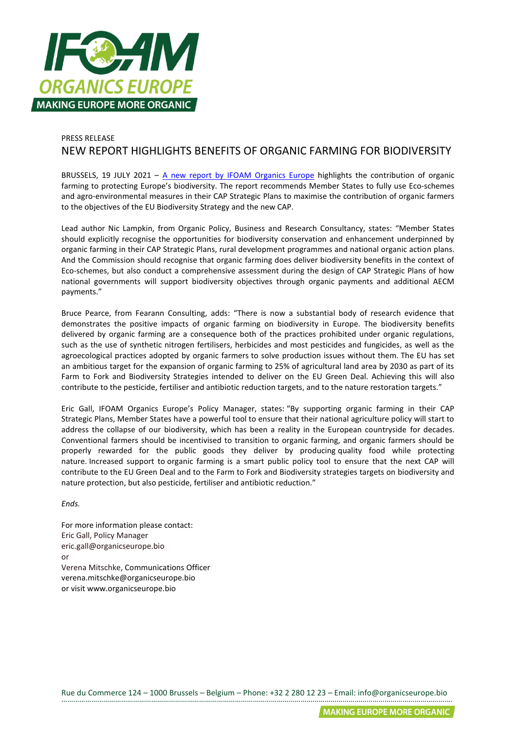

## PRESS RELEASE NEW REPORT HIGHLIGHTS BENEFITS OF ORGANIC FARMING FOR BIODIVERSITY

BRUSSELS, 19 JULY 2021 –  $\overline{A}$  new report by IFOAM Organics Europe highlights the contribution of organic farming to protecting Europe's biodiversity. The report recommends Member States to fully use Eco-schemes and agro-environmental measures in their CAP Strategic Plans to maximise the contribution of organic farmers to the objectives of the EU Biodiversity Strategy and the new CAP.

Lead author Nic Lampkin, from Organic Policy, Business and Research Consultancy, states: "Member States should explicitly recognise the opportunities for biodiversity conservation and enhancement underpinned by organic farming in their CAP Strategic Plans, rural development programmes and national organic action plans. And the Commission should recognise that organic farming does deliver biodiversity benefits in the context of Eco-schemes, but also conduct a comprehensive assessment during the design of CAP Strategic Plans of how national governments will support biodiversity objectives through organic payments and additional AECM payments."

Bruce Pearce, from Fearann Consulting, adds: "There is now a substantial body of research evidence that demonstrates the positive impacts of organic farming on biodiversity in Europe. The biodiversity benefits delivered by organic farming are a consequence both of the practices prohibited under organic regulations, such as the use of synthetic nitrogen fertilisers, herbicides and most pesticides and fungicides, as well as the agroecological practices adopted by organic farmers to solve production issues without them. The EU has set an ambitious target for the expansion of organic farming to 25% of agricultural land area by 2030 as part of its Farm to Fork and Biodiversity Strategies intended to deliver on the EU Green Deal. Achieving this will also contribute to the pesticide, fertiliser and antibiotic reduction targets, and to the nature restoration targets."

Eric Gall, IFOAM Organics Europe's Policy Manager, states: "By supporting organic farming in their CAP Strategic Plans, Member States have a powerful tool to ensure that their national agriculture policy will start to address the collapse of our biodiversity, which has been a reality in the European countryside for decades. Conventional farmers should be incentivised to transition to organic farming, and organic farmers should be properly rewarded for the public goods they deliver by producing quality food while protecting nature. Increased support to organic farming is a smart public policy tool to ensure that the next CAP will contribute to the EU Green Deal and to the Farm to Fork and Biodiversity strategies targets on biodiversity and nature protection, but also pesticide, fertiliser and antibiotic reduction."

*Ends.*

For more information please contact: Eric Gall, Policy Manager eric.gall@organicseurope.bio or Verena Mitschke, Communications Officer verena.mitschke@organicseurope.bio or visit www.organicseurope.bio

Rue du Commerce 124 – 1000 Brussels – Belgium – Phone: +32 2 280 12 23 – Email: info@organicseurope.bio …………………………………………………………………………………………………………………………………………………………………………….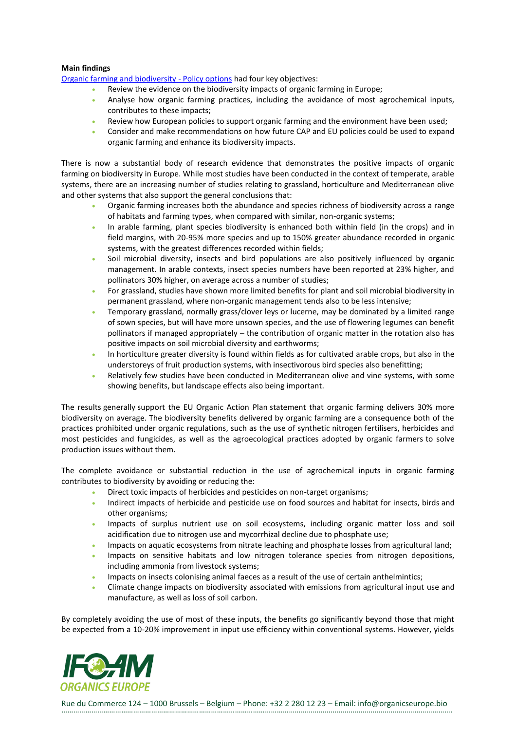## **Main findings**

[Organic farming and biodiversity -](https://read.organicseurope.bio/publication/organic-farming-and-biodiversity/) Policy options had four key objectives:

- Review the evidence on the biodiversity impacts of organic farming in Europe;
- Analyse how organic farming practices, including the avoidance of most agrochemical inputs, contributes to these impacts;
- Review how European policies to support organic farming and the environment have been used;
- Consider and make recommendations on how future CAP and EU policies could be used to expand organic farming and enhance its biodiversity impacts.

There is now a substantial body of research evidence that demonstrates the positive impacts of organic farming on biodiversity in Europe. While most studies have been conducted in the context of temperate, arable systems, there are an increasing number of studies relating to grassland, horticulture and Mediterranean olive and other systems that also support the general conclusions that:

- Organic farming increases both the abundance and species richness of biodiversity across a range of habitats and farming types, when compared with similar, non-organic systems;
- In arable farming, plant species biodiversity is enhanced both within field (in the crops) and in field margins, with 20-95% more species and up to 150% greater abundance recorded in organic systems, with the greatest differences recorded within fields;
- Soil microbial diversity, insects and bird populations are also positively influenced by organic management. In arable contexts, insect species numbers have been reported at 23% higher, and pollinators 30% higher, on average across a number of studies;
- For grassland, studies have shown more limited benefits for plant and soil microbial biodiversity in permanent grassland, where non-organic management tends also to be less intensive;
- Temporary grassland, normally grass/clover leys or lucerne, may be dominated by a limited range of sown species, but will have more unsown species, and the use of flowering legumes can benefit pollinators if managed appropriately – the contribution of organic matter in the rotation also has positive impacts on soil microbial diversity and earthworms;
- In horticulture greater diversity is found within fields as for cultivated arable crops, but also in the understoreys of fruit production systems, with insectivorous bird species also benefitting;
- Relatively few studies have been conducted in Mediterranean olive and vine systems, with some showing benefits, but landscape effects also being important.

The results generally support the EU Organic Action Plan statement that organic farming delivers 30% more biodiversity on average. The biodiversity benefits delivered by organic farming are a consequence both of the practices prohibited under organic regulations, such as the use of synthetic nitrogen fertilisers, herbicides and most pesticides and fungicides, as well as the agroecological practices adopted by organic farmers to solve production issues without them.

The complete avoidance or substantial reduction in the use of agrochemical inputs in organic farming contributes to biodiversity by avoiding or reducing the:

- Direct toxic impacts of herbicides and pesticides on non-target organisms;
- Indirect impacts of herbicide and pesticide use on food sources and habitat for insects, birds and other organisms;
- Impacts of surplus nutrient use on soil ecosystems, including organic matter loss and soil acidification due to nitrogen use and mycorrhizal decline due to phosphate use;
- Impacts on aquatic ecosystems from nitrate leaching and phosphate losses from agricultural land;
- Impacts on sensitive habitats and low nitrogen tolerance species from nitrogen depositions, including ammonia from livestock systems;
- Impacts on insects colonising animal faeces as a result of the use of certain anthelmintics;
- Climate change impacts on biodiversity associated with emissions from agricultural input use and manufacture, as well as loss of soil carbon.

By completely avoiding the use of most of these inputs, the benefits go significantly beyond those that might be expected from a 10-20% improvement in input use efficiency within conventional systems. However, yields



Rue du Commerce 124 – 1000 Brussels – Belgium – Phone: +32 2 280 12 23 – Email: info@organicseurope.bio …………………………………………………………………………………………………………………………………………………………………………….